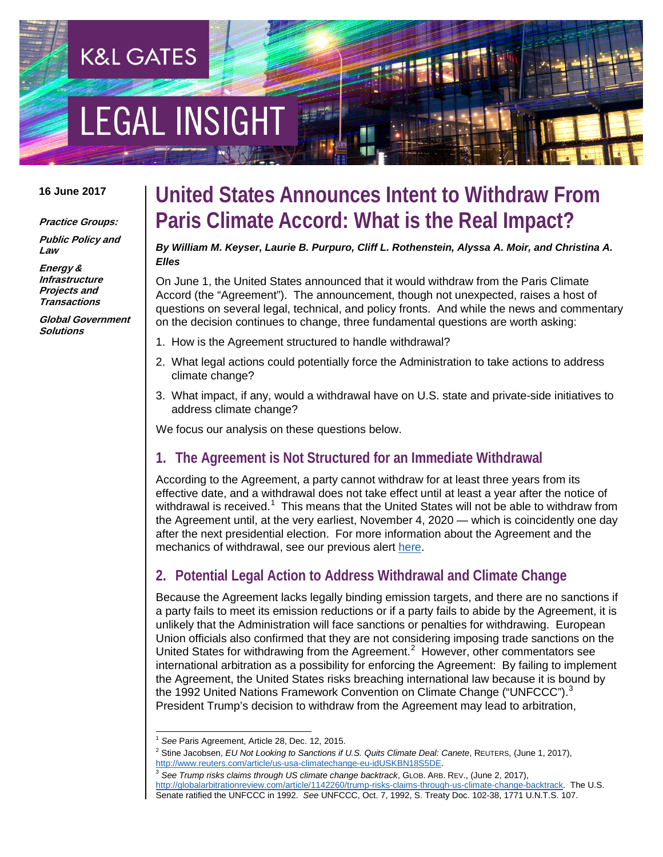# **EGAL INSIGHT**

**K&L GATES** 

#### **16 June 2017**

#### **Practice Groups:**

**Public Policy and Law**

**Energy & Infrastructure Projects and Transactions**

**Global Government Solutions**

# **United States Announces Intent to Withdraw From Paris Climate Accord: What is the Real Impact?**

#### *By William M. Keyser, Laurie B. Purpuro, Cliff L. Rothenstein, Alyssa A. Moir, and Christina A. Elles*

On June 1, the United States announced that it would withdraw from the Paris Climate Accord (the "Agreement"). The announcement, though not unexpected, raises a host of questions on several legal, technical, and policy fronts. And while the news and commentary on the decision continues to change, three fundamental questions are worth asking:

- 1. How is the Agreement structured to handle withdrawal?
- 2. What legal actions could potentially force the Administration to take actions to address climate change?
- 3. What impact, if any, would a withdrawal have on U.S. state and private-side initiatives to address climate change?

We focus our analysis on these questions below.

#### **1. The Agreement is Not Structured for an Immediate Withdrawal**

According to the Agreement, a party cannot withdraw for at least three years from its effective date, and a withdrawal does not take effect until at least a year after the notice of withdrawal is received.<sup>[1](#page-0-0)</sup> This means that the United States will not be able to withdraw from the Agreement until, at the very earliest, November 4, 2020 — which is coincidently one day after the next presidential election. For more information about the Agreement and the mechanics of withdrawal, see our previous alert [here.](http://www.klgates.com/paris-agreement-to-enter-into-force-implications-for-enforcement-in-the-united-states-and-internationally-10-25-2016/)

### **2. Potential Legal Action to Address Withdrawal and Climate Change**

Because the Agreement lacks legally binding emission targets, and there are no sanctions if a party fails to meet its emission reductions or if a party fails to abide by the Agreement, it is unlikely that the Administration will face sanctions or penalties for withdrawing. European Union officials also confirmed that they are not considering imposing trade sanctions on the United States for withdrawing from the Agreement. $2$  However, other commentators see international arbitration as a possibility for enforcing the Agreement: By failing to implement the Agreement, the United States risks breaching international law because it is bound by the 1992 United Nations Framework Convention on Climate Change ("UNFCCC").<sup>[3](#page-0-2)</sup> President Trump's decision to withdraw from the Agreement may lead to arbitration,

<span id="page-0-1"></span><span id="page-0-0"></span><sup>&</sup>lt;sup>1</sup> See Paris Agreement, Article 28, Dec. 12, 2015.<br><sup>2</sup> Stine Jacobsen, *EU Not Looking to Sanctions if U.S. Quits Climate Deal: Canete*, REUTERS, (June 1, 2017), http://www.reuters.com/article/us-usa-climatechange-eu-idUS

<span id="page-0-2"></span><sup>&</sup>lt;sup>3</sup> See Trump risks claims through US climate change backtrack, GLOB. ARB. REV., (June 2, 2017),

[http://globalarbitrationreview.com/article/1142260/trump-risks-claims-through-us-climate-change-backtrack.](http://globalarbitrationreview.com/article/1142260/trump-risks-claims-through-us-climate-change-backtrack) The U.S. Senate ratified the UNFCCC in 1992. *See* UNFCCC, Oct. 7, 1992, S. Treaty Doc. 102-38, 1771 U.N.T.S. 107.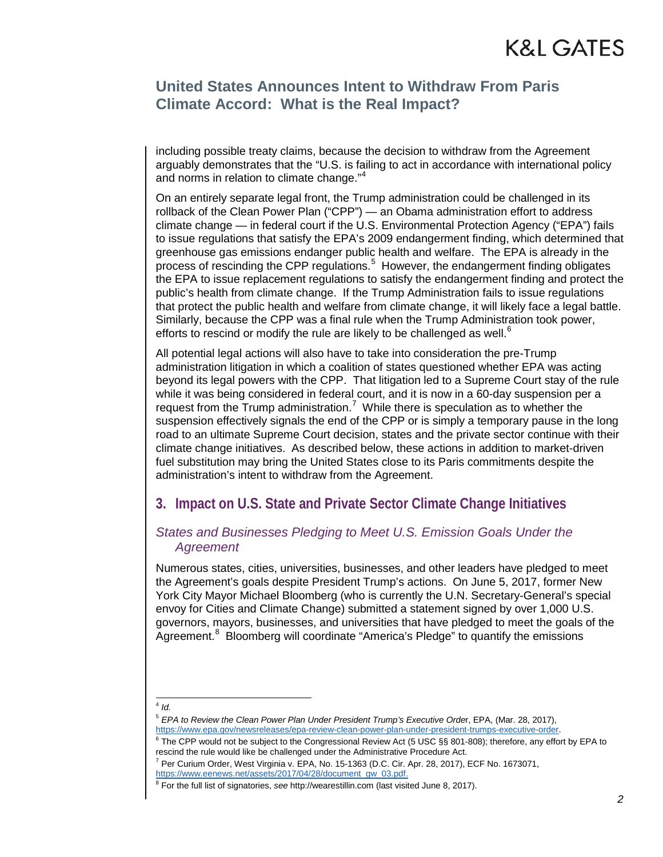### **United States Announces Intent to Withdraw From Paris Climate Accord: What is the Real Impact?**

including possible treaty claims, because the decision to withdraw from the Agreement arguably demonstrates that the "U.S. is failing to act in accordance with international policy and norms in relation to climate change."<sup>[4](#page-1-0)</sup>

On an entirely separate legal front, the Trump administration could be challenged in its rollback of the Clean Power Plan ("CPP") — an Obama administration effort to address climate change — in federal court if the U.S. Environmental Protection Agency ("EPA") fails to issue regulations that satisfy the EPA's 2009 endangerment finding, which determined that greenhouse gas emissions endanger public health and welfare. The EPA is already in the process of rescinding the CPP regulations.<sup>[5](#page-1-1)</sup> However, the endangerment finding obligates the EPA to issue replacement regulations to satisfy the endangerment finding and protect the public's health from climate change. If the Trump Administration fails to issue regulations that protect the public health and welfare from climate change, it will likely face a legal battle. Similarly, because the CPP was a final rule when the Trump Administration took power, efforts to rescind or modify the rule are likely to be challenged as well.<sup>[6](#page-1-2)</sup>

All potential legal actions will also have to take into consideration the pre-Trump administration litigation in which a coalition of states questioned whether EPA was acting beyond its legal powers with the CPP. That litigation led to a Supreme Court stay of the rule while it was being considered in federal court, and it is now in a 60-day suspension per a request from the  $Trump$  administration.<sup>[7](#page-1-3)</sup> While there is speculation as to whether the suspension effectively signals the end of the CPP or is simply a temporary pause in the long road to an ultimate Supreme Court decision, states and the private sector continue with their climate change initiatives. As described below, these actions in addition to market-driven fuel substitution may bring the United States close to its Paris commitments despite the administration's intent to withdraw from the Agreement.

### **3. Impact on U.S. State and Private Sector Climate Change Initiatives**

#### *States and Businesses Pledging to Meet U.S. Emission Goals Under the Agreement*

Numerous states, cities, universities, businesses, and other leaders have pledged to meet the Agreement's goals despite President Trump's actions. On June 5, 2017, former New York City Mayor Michael Bloomberg (who is currently the U.N. Secretary-General's special envoy for Cities and Climate Change) submitted a statement signed by over 1,000 U.S. governors, mayors, businesses, and universities that have pledged to meet the goals of the Agreement.<sup>[8](#page-1-4)</sup> Bloomberg will coordinate "America's Pledge" to quantify the emissions

<span id="page-1-1"></span><span id="page-1-0"></span>4 *Id.*

<span id="page-1-2"></span> $6$  The CPP would not be subject to the Congressional Review Act (5 USC §§ 801-808); therefore, any effort by EPA to rescind the rule would like be challenged under the Administrative Procedure Act.

<sup>&</sup>lt;sup>5</sup> EPA to Review the Clean Power Plan Under President Trump's Executive Order, EPA, (Mar. 28, 2017), https://www.epa.gov/newsreleases/epa-review-clean-power-plan-under-president-trumps-executive-order.

<span id="page-1-3"></span> $<sup>7</sup>$  Per Curium Order, West Virginia v. EPA, No. 15-1363 (D.C. Cir. Apr. 28, 2017), ECF No. 1673071,</sup> [https://www.eenews.net/assets/2017/04/28/document\\_gw\\_03.pdf.](https://www.eenews.net/assets/2017/04/28/document_gw_03.pdf)

<span id="page-1-4"></span><sup>8</sup> For the full list of signatories, *see* http://wearestillin.com (last visited June 8, 2017).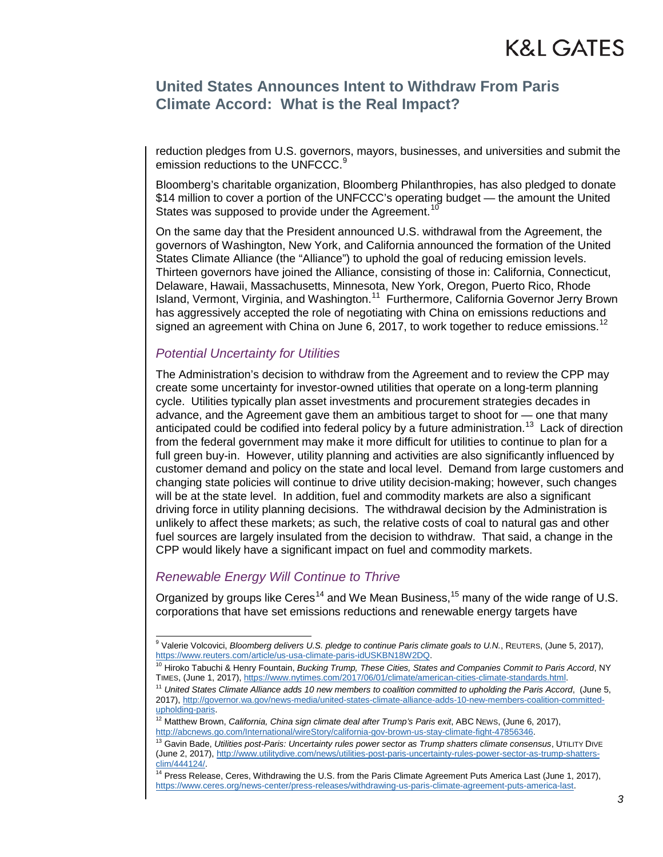### **United States Announces Intent to Withdraw From Paris Climate Accord: What is the Real Impact?**

reduction pledges from U.S. governors, mayors, businesses, and universities and submit the emission reductions to the UNFCCC.<sup>[9](#page-2-0)</sup>

Bloomberg's charitable organization, Bloomberg Philanthropies, has also pledged to donate \$14 million to cover a portion of the UNFCCC's operating budget — the amount the United States was supposed to provide under the Agreement.<sup>10</sup>

On the same day that the President announced U.S. withdrawal from the Agreement, the governors of Washington, New York, and California announced the formation of the United States Climate Alliance (the "Alliance") to uphold the goal of reducing emission levels. Thirteen governors have joined the Alliance, consisting of those in: California, Connecticut, Delaware, Hawaii, Massachusetts, Minnesota, New York, Oregon, Puerto Rico, Rhode Island, Vermont, Virginia, and Washington.[11](#page-2-2) Furthermore, California Governor Jerry Brown has aggressively accepted the role of negotiating with China on emissions reductions and signed an agreement with China on June 6, 2017, to work together to reduce emissions.<sup>[12](#page-2-3)</sup>

#### *Potential Uncertainty for Utilities*

The Administration's decision to withdraw from the Agreement and to review the CPP may create some uncertainty for investor-owned utilities that operate on a long-term planning cycle. Utilities typically plan asset investments and procurement strategies decades in advance, and the Agreement gave them an ambitious target to shoot for — one that many anticipated could be codified into federal policy by a future administration.<sup>[13](#page-2-4)</sup> Lack of direction from the federal government may make it more difficult for utilities to continue to plan for a full green buy-in. However, utility planning and activities are also significantly influenced by customer demand and policy on the state and local level. Demand from large customers and changing state policies will continue to drive utility decision-making; however, such changes will be at the state level. In addition, fuel and commodity markets are also a significant driving force in utility planning decisions. The withdrawal decision by the Administration is unlikely to affect these markets; as such, the relative costs of coal to natural gas and other fuel sources are largely insulated from the decision to withdraw. That said, a change in the CPP would likely have a significant impact on fuel and commodity markets.

#### *Renewable Energy Will Continue to Thrive*

Organized by groups like Ceres<sup>[14](#page-2-5)</sup> and We Mean Business,  $15$  many of the wide range of U.S. corporations that have set emissions reductions and renewable energy targets have

<span id="page-2-0"></span><sup>&</sup>lt;sup>9</sup> Valerie Volcovici, *Bloomberg delivers U.S. pledge to continue Paris climate goals to U.N.*, REUTERS, (June 5, 2017),

<span id="page-2-1"></span>[https://www.reuters.com/article/us-usa-climate-paris-idUSKBN18W2DQ.](https://www.reuters.com/article/us-usa-climate-paris-idUSKBN18W2DQ)<br><sup>[10](https://www.reuters.com/article/us-usa-climate-paris-idUSKBN18W2DQ)</sup> Hiroko Tabuchi & Henry Fountain, *Bucking Trump, These Cities, States and Companies Commit to Paris Accord*, NY<br>TiMES, (June 1, 2017), <u>https://www.n</u>

<span id="page-2-6"></span><span id="page-2-2"></span><sup>&</sup>lt;sup>11</sup> United States Climate Alliance adds 10 new members to coalition committed to upholding the Paris Accord, (June 5, 2017), [http://governor.wa.gov/news-media/united-states-climate-alliance-adds-10-new-members-coalition-committed](http://governor.wa.gov/news-media/united-states-climate-alliance-adds-10-new-members-coalition-committed-upholding-paris)[upholding-paris.](http://governor.wa.gov/news-media/united-states-climate-alliance-adds-10-new-members-coalition-committed-upholding-paris)

<span id="page-2-3"></span><sup>&</sup>lt;sup>12</sup> Matthew Brown, *California, China sign climate deal after Trump's Paris exit*, ABC NEws, (June 6, 2017),<br>http://abcnews.go.com/International/wireStory/california-gov-brown-us-stay-climate-fight-47856346.

<span id="page-2-4"></span><sup>&</sup>lt;sup>13</sup> Gavin Bade. Utilities post-Paris: Uncertainty rules power sector as Trump shatters climate consensus, UTILITY DIVE (June 2, 2017), http://www.utilitydive.com/news/utilities-post-paris-uncertainty-rules-power-sector-as-trump-shatters-<br>clim/444124/.

<span id="page-2-5"></span><sup>&</sup>lt;sup>14</sup> Press Release, Ceres, Withdrawing the U.S. from the Paris Climate Agreement Puts America Last (June 1, 2017), [https://www.ceres.org/news-center/press-releases/withdrawing-us-paris-climate-agreement-puts-america-last.](https://www.ceres.org/news-center/press-releases/withdrawing-us-paris-climate-agreement-puts-america-last)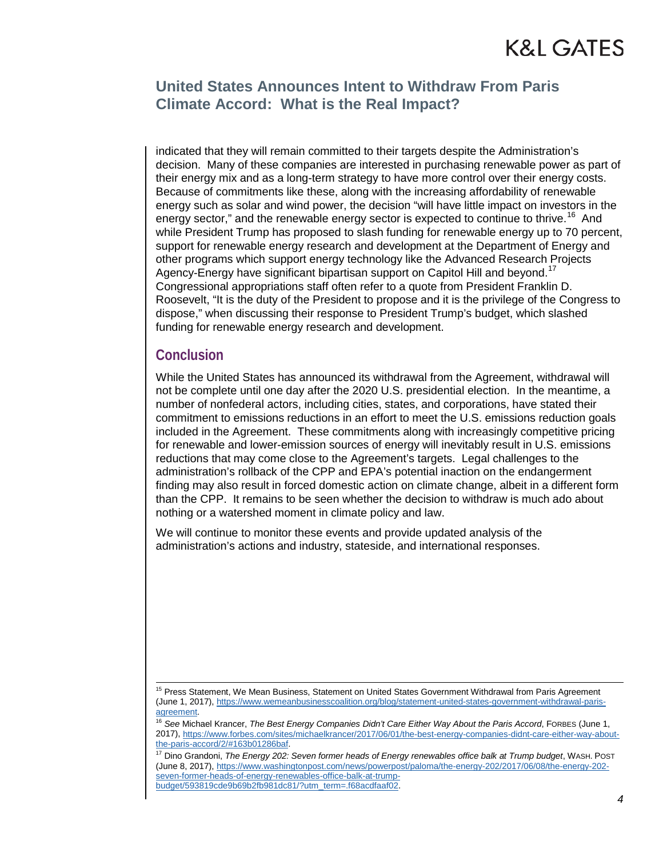# K&L GATES

#### **United States Announces Intent to Withdraw From Paris Climate Accord: What is the Real Impact?**

indicated that they will remain committed to their targets despite the Administration's decision. Many of these companies are interested in purchasing renewable power as part of their energy mix and as a long-term strategy to have more control over their energy costs. Because of commitments like these, along with the increasing affordability of renewable energy such as solar and wind power, the decision "will have little impact on investors in the energy sector," and the renewable energy sector is expected to continue to thrive.<sup>16</sup> And while President Trump has proposed to slash funding for renewable energy up to 70 percent, support for renewable energy research and development at the Department of Energy and other programs which support energy technology like the Advanced Research Projects Agency-Energy have significant bipartisan support on Capitol Hill and beyond.<sup>[17](#page-3-1)</sup> Congressional appropriations staff often refer to a quote from President Franklin D. Roosevelt, "It is the duty of the President to propose and it is the privilege of the Congress to dispose," when discussing their response to President Trump's budget, which slashed funding for renewable energy research and development.

#### **Conclusion**

While the United States has announced its withdrawal from the Agreement, withdrawal will not be complete until one day after the 2020 U.S. presidential election. In the meantime, a number of nonfederal actors, including cities, states, and corporations, have stated their commitment to emissions reductions in an effort to meet the U.S. emissions reduction goals included in the Agreement. These commitments along with increasingly competitive pricing for renewable and lower-emission sources of energy will inevitably result in U.S. emissions reductions that may come close to the Agreement's targets. Legal challenges to the administration's rollback of the CPP and EPA's potential inaction on the endangerment finding may also result in forced domestic action on climate change, albeit in a different form than the CPP. It remains to be seen whether the decision to withdraw is much ado about nothing or a watershed moment in climate policy and law.

We will continue to monitor these events and provide updated analysis of the administration's actions and industry, stateside, and international responses.

<span id="page-3-1"></span><sup>17</sup> Dino Grandoni, *The Energy 202: Seven former heads of Energy renewables office balk at Trump budget, WASH. POST* (June 8, 2017), [https://www.washingtonpost.com/news/powerpost/paloma/the-energy-202/2017/06/08/the-energy-202](https://www.washingtonpost.com/news/powerpost/paloma/the-energy-202/2017/06/08/the-energy-202-seven-former-heads-of-energy-renewables-office-balk-at-trump-budget/593819cde9b69b2fb981dc81/?utm_term=.f68acdfaaf02) [seven-former-heads-of-energy-renewables-office-balk-at-trump](https://www.washingtonpost.com/news/powerpost/paloma/the-energy-202/2017/06/08/the-energy-202-seven-former-heads-of-energy-renewables-office-balk-at-trump-budget/593819cde9b69b2fb981dc81/?utm_term=.f68acdfaaf02)[budget/593819cde9b69b2fb981dc81/?utm\\_term=.f68acdfaaf02.](https://www.washingtonpost.com/news/powerpost/paloma/the-energy-202/2017/06/08/the-energy-202-seven-former-heads-of-energy-renewables-office-balk-at-trump-budget/593819cde9b69b2fb981dc81/?utm_term=.f68acdfaaf02)

<sup>&</sup>lt;sup>15</sup> Press Statement, We Mean Business, Statement on United States Government Withdrawal from Paris Agreement (June 1, 2017), [https://www.wemeanbusinesscoalition.org/blog/statement-united-states-government-withdrawal-paris](https://www.wemeanbusinesscoalition.org/blog/statement-united-states-government-withdrawal-paris-agreement)[agreement.](https://www.wemeanbusinesscoalition.org/blog/statement-united-states-government-withdrawal-paris-agreement)<br><sup>[16](https://www.wemeanbusinesscoalition.org/blog/statement-united-states-government-withdrawal-paris-agreement)</sup> See Michael Krancer, *The Best Energy Companies Didn't Care Either Way About the Paris Accord*, FORBES (June 1,

<span id="page-3-0"></span><sup>2017),</sup> https://www.forbes.com/sites/michaelkrancer/2017/06/01/the-best-energy-companies-didnt-care-either-way-about-<br>the-paris-accord/2/#163b01286baf.